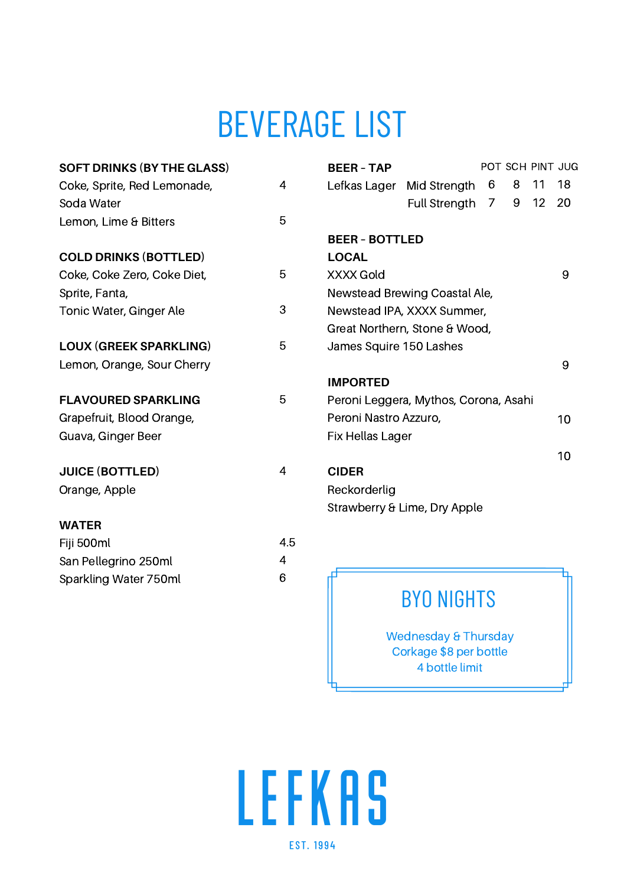# BEVERAGE LIST

| <b>SOFT DRINKS (BY THE GLASS)</b> |     | <b>BEER - TAP</b>                     |                      |   |   |    | POT SCH PINT JUG |
|-----------------------------------|-----|---------------------------------------|----------------------|---|---|----|------------------|
| Coke, Sprite, Red Lemonade,       | 4   | Lefkas Lager                          | Mid Strength         | 6 | 8 | 11 | 18               |
| Soda Water                        |     |                                       | <b>Full Strenath</b> | 7 | 9 | 12 | 20               |
| Lemon, Lime & Bitters             | 5   |                                       |                      |   |   |    |                  |
|                                   |     | <b>BEER - BOTTLED</b>                 |                      |   |   |    |                  |
| <b>COLD DRINKS (BOTTLED)</b>      |     | <b>LOCAL</b>                          |                      |   |   |    |                  |
| Coke, Coke Zero, Coke Diet,       | 5   | XXXX Gold                             |                      |   |   |    | 9                |
| Sprite, Fanta,                    |     | Newstead Brewing Coastal Ale,         |                      |   |   |    |                  |
| 3<br>Tonic Water, Ginger Ale      |     | Newstead IPA, XXXX Summer,            |                      |   |   |    |                  |
|                                   |     | Great Northern, Stone & Wood,         |                      |   |   |    |                  |
| <b>LOUX (GREEK SPARKLING)</b>     | 5   | James Squire 150 Lashes               |                      |   |   |    |                  |
| Lemon, Orange, Sour Cherry        |     |                                       |                      |   |   |    | 9                |
|                                   |     | <b>IMPORTED</b>                       |                      |   |   |    |                  |
| <b>FLAVOURED SPARKLING</b>        | 5   | Peroni Leggera, Mythos, Corona, Asahi |                      |   |   |    |                  |
| Grapefruit, Blood Orange,         |     | Peroni Nastro Azzuro,                 |                      |   |   |    | 10               |
| Guava, Ginger Beer                |     | Fix Hellas Lager                      |                      |   |   |    |                  |
|                                   |     |                                       |                      |   |   |    | 10               |
| <b>JUICE (BOTTLED)</b>            | 4   | <b>CIDER</b>                          |                      |   |   |    |                  |
| Orange, Apple                     |     | Reckorderlig                          |                      |   |   |    |                  |
|                                   |     | Strawberry & Lime, Dry Apple          |                      |   |   |    |                  |
| <b>WATER</b>                      |     |                                       |                      |   |   |    |                  |
| Fiji 500ml                        | 4.5 |                                       |                      |   |   |    |                  |
| San Pellegrino 250ml              | 4   |                                       |                      |   |   |    |                  |
| Sparkling Water 750ml             | 6   |                                       |                      |   |   |    |                  |
|                                   |     |                                       |                      |   |   |    |                  |

### BYO NIGHTS

Wednesday & Thursday Corkage \$8 per bottle 4 bottle limit

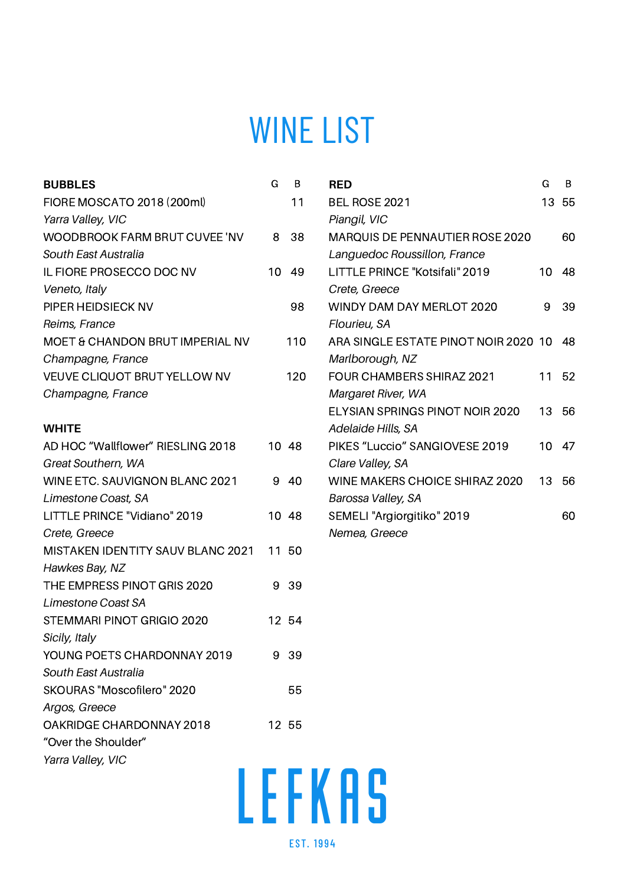## WINE LIST

| <b>BUBBLES</b>                    | G  | B     | <b>RED</b>                           | G  | B  |
|-----------------------------------|----|-------|--------------------------------------|----|----|
| FIORE MOSCATO 2018 (200ml)        |    | 11    | BEL ROSE 2021                        | 13 | 55 |
| Yarra Valley, VIC                 |    |       | Piangil, VIC                         |    |    |
| WOODBROOK FARM BRUT CUVEE 'NV     | 8  | 38    | MARQUIS DE PENNAUTIER ROSE 2020      |    | 60 |
| South East Australia              |    |       | Languedoc Roussillon, France         |    |    |
| IL FIORE PROSECCO DOC NV          | 10 | 49    | LITTLE PRINCE "Kotsifali" 2019       | 10 | 48 |
| Veneto, Italy                     |    |       | Crete, Greece                        |    |    |
| PIPER HEIDSIECK NV                |    | 98    | WINDY DAM DAY MERLOT 2020            | 9  | 39 |
| Reims, France                     |    |       | Flourieu, SA                         |    |    |
| MOET & CHANDON BRUT IMPERIAL NV   |    | 110   | ARA SINGLE ESTATE PINOT NOIR 2020 10 |    | 48 |
| Champagne, France                 |    |       | Marlborough, NZ                      |    |    |
| VEUVE CLIQUOT BRUT YELLOW NV      |    | 120   | FOUR CHAMBERS SHIRAZ 2021            | 11 | 52 |
| Champagne, France                 |    |       | Margaret River, WA                   |    |    |
|                                   |    |       | ELYSIAN SPRINGS PINOT NOIR 2020      | 13 | 56 |
| <b>WHITE</b>                      |    |       | Adelaide Hills, SA                   |    |    |
| AD HOC "Wallflower" RIESLING 2018 |    | 10 48 | PIKES "Luccio" SANGIOVESE 2019       | 10 | 47 |
| Great Southern, WA                |    |       | Clare Valley, SA                     |    |    |
| WINE ETC. SAUVIGNON BLANC 2021    | 9  | 40    | WINE MAKERS CHOICE SHIRAZ 2020       | 13 | 56 |
| Limestone Coast, SA               |    |       | Barossa Valley, SA                   |    |    |
| LITTLE PRINCE "Vidiano" 2019      |    | 10 48 | SEMELI "Argiorgitiko" 2019           |    | 60 |
| Crete, Greece                     |    |       | Nemea, Greece                        |    |    |
| MISTAKEN IDENTITY SAUV BLANC 2021 |    | 11 50 |                                      |    |    |
| Hawkes Bay, NZ                    |    |       |                                      |    |    |
| THE EMPRESS PINOT GRIS 2020       | 9  | 39    |                                      |    |    |
| Limestone Coast SA                |    |       |                                      |    |    |
| STEMMARI PINOT GRIGIO 2020        |    | 12 54 |                                      |    |    |
| Sicily, Italy                     |    |       |                                      |    |    |
| YOUNG POETS CHARDONNAY 2019       | 9  | 39    |                                      |    |    |
| South East Australia              |    |       |                                      |    |    |
| SKOURAS "Moscofilero" 2020        |    | 55    |                                      |    |    |
| Argos, Greece                     |    |       |                                      |    |    |
| OAKRIDGE CHARDONNAY 2018          |    | 12 55 |                                      |    |    |
| "Over the Shoulder"               |    |       |                                      |    |    |
| Yarra Valley, VIC                 |    |       |                                      |    |    |

LEFKAS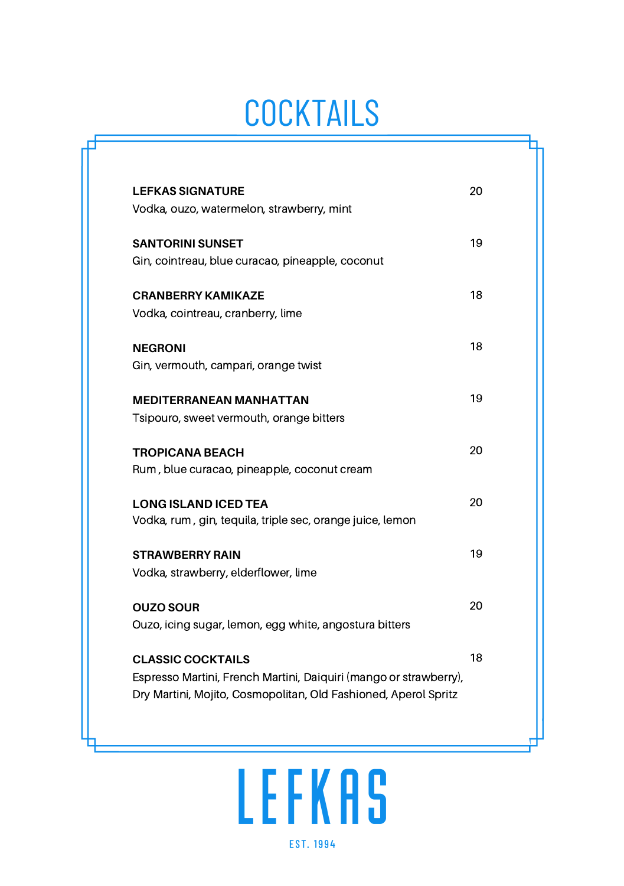# **COCKTAILS**

| <b>LEFKAS SIGNATURE</b><br>Vodka, ouzo, watermelon, strawberry, mint                          | 20 |
|-----------------------------------------------------------------------------------------------|----|
| <b>SANTORINI SUNSET</b><br>Gin, cointreau, blue curacao, pineapple, coconut                   | 19 |
| <b>CRANBERRY KAMIKAZE</b><br>Vodka, cointreau, cranberry, lime                                | 18 |
| <b>NEGRONI</b><br>Gin, vermouth, campari, orange twist                                        | 18 |
| <b>MEDITERRANEAN MANHATTAN</b><br>Tsipouro, sweet vermouth, orange bitters                    | 19 |
| <b>TROPICANA BEACH</b><br>Rum, blue curacao, pineapple, coconut cream                         | 20 |
| <b>LONG ISLAND ICED TEA</b><br>Vodka, rum, gin, tequila, triple sec, orange juice, lemon      | 20 |
| <b>STRAWBERRY RAIN</b><br>Vodka, strawberry, elderflower, lime                                | 19 |
| <b>OUZO SOUR</b><br>Ouzo, icing sugar, lemon, egg white, angostura bitters                    | 20 |
| <b>CLASSIC COCKTAILS</b><br>Espresso Martini, French Martini, Daiquiri (mango or strawberry), | 18 |
| Dry Martini, Mojito, Cosmopolitan, Old Fashioned, Aperol Spritz                               |    |

# LEFKAS **EST. 1994**